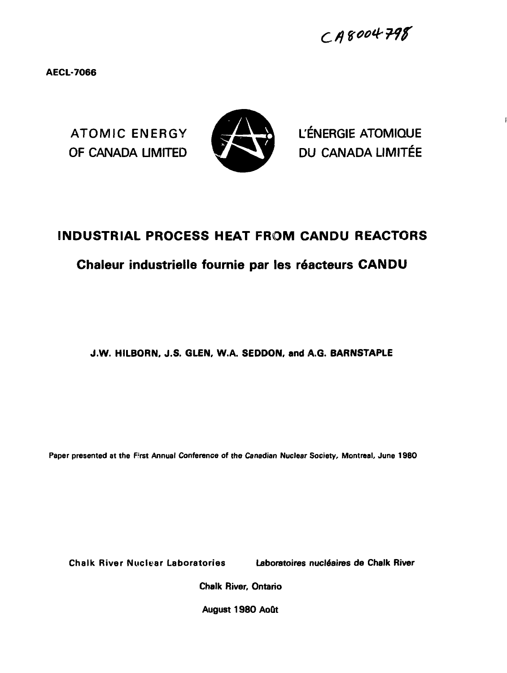AECL-7066



ATOMIC ENERGY **SEXUAL L'ÉNERGIE ATOMIQUE** OF CANADA LIMITED WARRANDU CANADA LIMITÉE

# **INDUSTRIAL PROCESS HEAT FROM CANDU REACTORS**

## **Chaleur industrielle fournie par les r6acteurs CANDU**

## J.W. **HILBORN. J.S. GLEN, W.A. SEDDON, and A.G. BARNSTAPLE**

**Paper presented at the Rrst Annual Conference of the Canadian Nuclear Society, Montreal, June 1980**

Chalk River Nuclear Laboratories Laboratoires nucle'aires da Chalk River

Chalk River, Ontario

August 1980 AoQt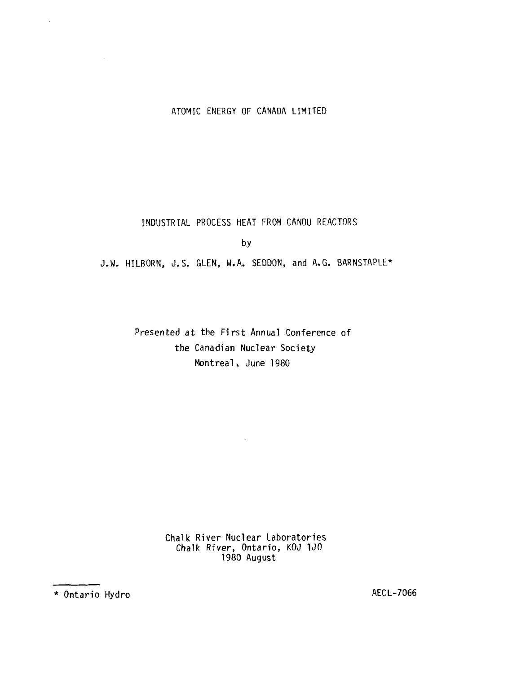## ATOMIC ENERGY OF CANADA LIMITED

INDUSTRIAL PROCESS HEAT FROM CANDU REACTORS

by

J.W. HILBORN, J.S. GLEN, W.A. SEDDON, and A.G. BARNSTAPLE\*

Presented at the First Annual Conference of the Canadian Nuclear Society Montreal, June 1980

 $\sim 10^{11}$  km  $^{-1}$ 

Chalk River Nuclear Laboratories Chalk River, Ontario, KOJ 1JO 1980 August

\* Ontario Hydro AECL-7066

 $\ddot{\phantom{a}}$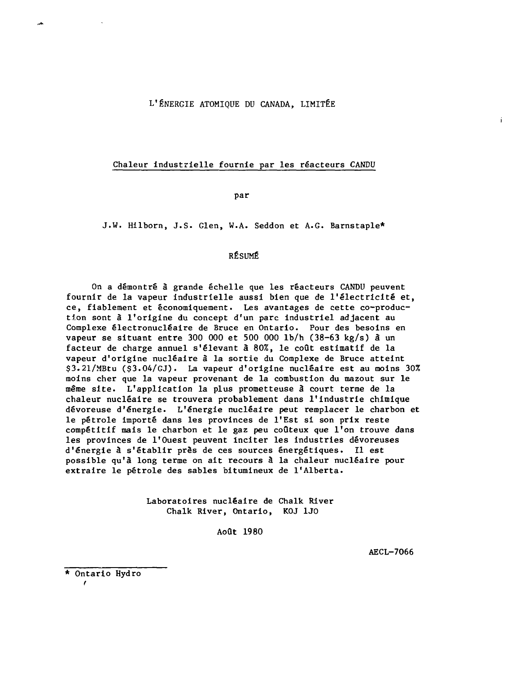#### L'ÉNERGIE ATOMIQUE DU CANADA, LIMITÉE

#### Chaleur industrielle fournie par les réacteurs CANDU

par

J.W. Hilborn, J.S. Glen, W.A. Seddon et A.G. Barnstaple\*

## RÉSUMÉ

On a démontré à grande échelle que les réacteurs CANDU peuvent fournir de la vapeur industrielle aussi bien que de l'électricité et, ce, fiablement et économiquement. Les avantages de cette co-production sont à l'origine du concept d'un parc industriel adjacent au Complexe êlectronuclëaire de Bruce en Ontario. Pour des besoins en vapeur se situant entre 300 000 et 500 000 lb/h (38-63 kg/s) à un facteur de charge annuel s'élevant à 80%, le coût estimatif de la vapeur d'origine nucléaire â la sortie du Complexe de Bruce atteint \$3.21/MBtu (\$3.04/GJ). La vapeur d'origine nucléaire est au moins 30% moins cher que la vapeur provenant de la combustion du mazout sur le même site. L'application la plus prometteuse â court terme de la chaleur nucléaire se trouvera probablement dans l'industrie chimique dévoreuse d'énergie. L'énergie nucléaire peut remplacer le charbon et le pétrole importé dans les provinces de l'Est si son prix reste compétitif mais le charbon et le gaz peu coûteux que l'on trouve dans les provinces de l'Ouest peuvent Inciter les industries dévoreuses d'énergie à s'établir près de ces sources énergétiques. Il est possible qu'à long terme on ait recours â la chaleur nucléaire pour extraire le pétrole des sables bitumineux de l'Alberta.

> Laboratoires nucléaire de Chalk River Chalk River, Ontario, KOJ 1J0

> > Août 1980

AECL-7066

÷

\* Ontario Hydro i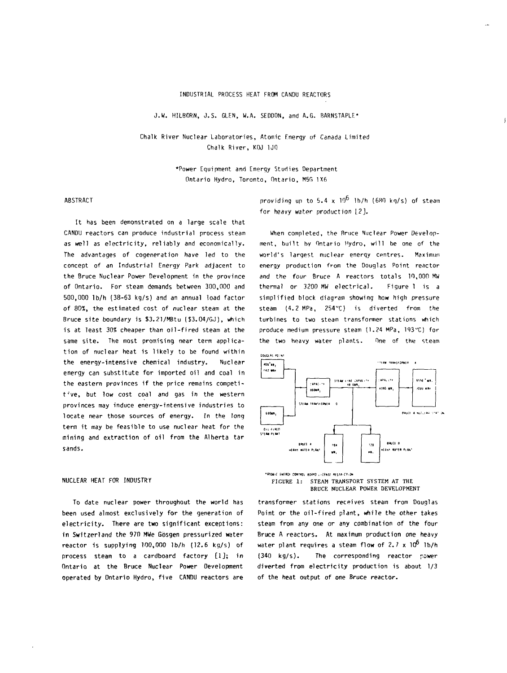#### INDUSTRIAL PROCESS HEAT FROM CANDU REACTORS

J.W. HILBORN, J.S. GLEN, W.A. SEDDON, and A.G. BARNSTAPLE\*

Chalk River Nuclear Laboratories, Atomic Rnergy of Canada Limited Chalk River, KOJ 1JO

> •Power Equipment and Energy Studies Department Ontario Hydro, Toronto, Ontario, M5G 1X6

#### ABSTRACT

It has been demonstrated on a large scale that CANDU reactors can produce industrial process steam as well as electricity, reliably and economically. The advantages of cogeneration have led to the concept of an Industrial Energy Park adjacent to the Bruce Nuclear Power Development in the province of Ontario. For steam demands between 300,000 and 500,000 lb/h (38-63 kg/s) and an annual load factor of 80X, the estimated cost of nuclear steam at the Bruce site boundary is \$3.21/MBtu (\$3.04/GJ), which is at least 30% cheaper than oil-fired steam at the same site. The most promising near term application of nuclear heat is likely to be found within the energy-intensive chemical industry. Nuclear energy can substitute for imported oil and coal in the eastern provinces if the price remains competitive, but low cost coal and gas in the western provinces may induce energy-intensive industries to locate near those sources of energy. In the long term it may be feasible to use nuclear heat for the mining and extraction of oil from the Alberta tar sands.

#### NUCLEAR HEAT FOR INDUSTRV

To date nuclear power throughout the world has been used almost exclusively for the generation of electricity. There are two significant exceptions: in Switzerland the 970 MWe Gbsgen pressurized water reactor is supplying 100,000 lb/h (12.6 kg/s) of process steam to a cardboard factory [1]; in Ontario at the Bruce Nuclear Power Development operated by Ontario Hydro, five CANDU reactors are

providing up to 5.4 x  $10^6$  lb/h (680 kg/s) of steam for heavy water production  $\lfloor 2 \rfloor$ .

When completed, the Rruce Nuclear Power Development, built by Ontario Hydro, will be one of the world's largest nuclear enerqy centres. Maximum energy production from the Douglas Point reactor and the four Bruce A reactors totals 10,000 MW thermal or 3200 MW electrical. Figure 1 is a simplified block diagram showing how high pressure steam  $(4.2 \text{ MPa}, 254\text{°C})$  is diverted from the turbines to two steam transformer stations which produce medium pressure steam (1.24 MPa, 193"C) for the two heavy water plants. One of the steam



FIGURE 1: STEAM TRANSPORT SYSTEM AT THE BRUCE NUCLEAR POWER DEVELOPMENT

**transformer stations receives steam from Douglas Point or the oil-fired plant, while the other takes steam from any one or any combination of the four Bruce A reactors. At maximum production one heavy water plant requires a steam flow of 2.7 x 10<sup>6</sup> lb/h (340 kg/s). The corresponding reactor power diverted from electricity production is about 1/3 of the heat output of one Bruce reactor.**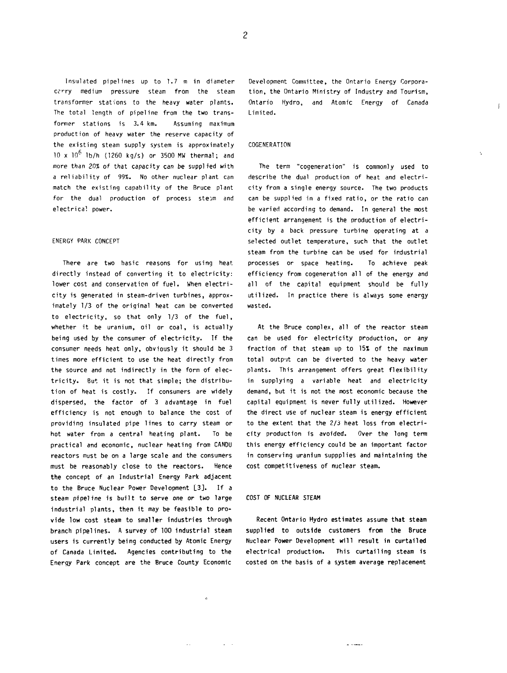**Insulated pipelines up to 1.7 m in diameter Ci'Ty medium pressure steam from the steam transformer stations to the heavy water plants. The total length of pipeline from the two transformer stations is 3.4 km. Assuming maximum production of heavy water the reserve capacity of the existing steam supply system is approximately 10 x 1Q<sup>6</sup> lb/h (1260 kg/s) or 3500 MW thermal; and more than 20% of that capacity can be supplied with a reliability of 99%. No other nuclear plant can match the existing capability of the Bruce plant** for the dual production of process ste*im* and **electrical power.**

#### **ENERGY PARK CONCEPT**

**There are two basic reasons for using heat directly instead of converting it to electricity: lower cost and conservation of fuel. When electricity is generated in steam-driven turbines, approximately 1/3 of the original heat can be converted to electricity, so that only 1/3 of the fuel, whether it be uranium, oil or coal, is actually being used by the consumer of electricity. If the consumer needs heat only, obviously it should be 3 times more efficient to use the heat directly from the source and not indirectly in the form of electricity. But it is not that simple; the distribution of heat is costly. If consumers are widely dispersed, the factor of 3 advantage in fuel efficiency is not enough to balance the cost of providing insulated pipe lines to carry steam or hot water from a central heating plant. To be practical and economic, nuclear heating from CANDU reactors must be on a large scale and the consumers must be reasonably close to the reactors. Hence the concept of an Industrial Energy Park adjacent to the Bruce Nuclear Power Development L3J. If a steam pipeline is built to serve one or two large industrial plants, then it may be feasible to provide low cost steam to smaller industries through branch pipelines. A survey of 100 industrial steam users is currently being conducted by Atomic Energy of Canada Limited. Agencies contributing to the Energy Park concept are the Bruce County Economic**

**Development Committee, the Ontario Energy Corporation, the Ontario Ministry of Industry and Tourism, Ontario Hydro, and Atomic Energy of Canada Limited.**

 $\mathbf{f}$ 

#### **COGENERATION**

**The term "cogeneration" is commonly used to describe the dual production of heat and electricity from a single energy source. The two products can be supplied in a fixed ratio, or the ratio can be varied according to demand. In general the most efficient arrangement is the production of electricity by a back pressure turbine operating at a selected outlet temperature, such that the outlet steam from the turbine can be used for industrial processes or space heating. To achieve peak efficiency from cogeneration all of the energy and all of the capital equipment should be fully utilized. In practice there is always some energy wasted.**

**At the Bruce complex, all of the reactor steam can be used for electricity production, or any fraction of that steam up to 15% of the maximum total output can be diverted to the heavy water plants. This arrangement offers great flexibility in supplying a variable heat and electricity demand, but it is not the most economic because the capital equipment is never fully utilized. However the direct use of nuclear steam is energy efficient to the extent that the 2/3 heat loss from electricity production is avoided. Over the long term this energy efficiency could be an important factor in conserving uranium suppplies and maintaining the cost competitiveness of nuclear steam.**

#### **COST OF NUCLEAR STEAM**

 $\ddot{\textbf{c}}$ 

 $\omega_{\rm{eff}}$ 

**Recent Ontario Hydro estimates assume that steam supplied to outside customers from the Bruce Nuclear Power Development will result in curtailed electrical production. This curtailing steam is costed on the basis of a system average replacement**

بسباب

 $\overline{c}$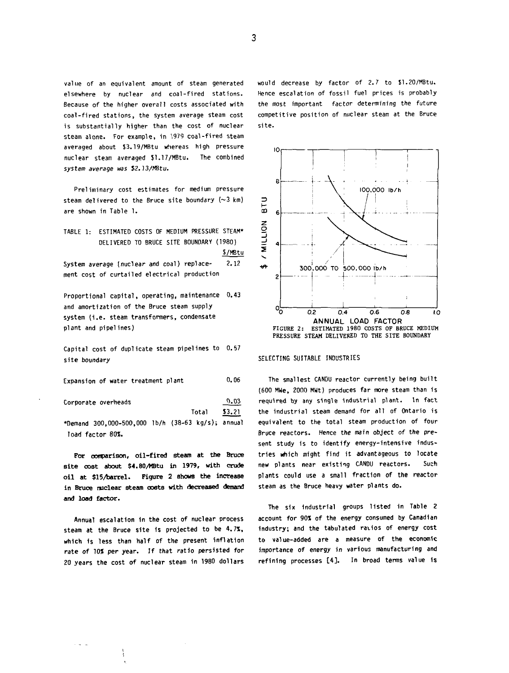value of an equivalent amount of steam generated elsewhere by nuclear and coal-fired stations. Because of the higher overall costs associated with coal-fired stations, the system average steam cost is substantially higher than the cost of nuclear steam alone. For example, in 1979 coal-fired steam averaged about \$3.19/MBtu whereas high pressure nuclear steam averaged \$1.17/MBtu. The combined system average was \$2. )3/MBtu.

Preliminary cost estimates for medium pressure steam delivered to the Bruce site boundary  $(\sim 3 \text{ km})$ are shown in Table 1.

TABLE 1: ESTIMATED COSTS OF MEDIUM PRESSURE STEAM\* DELIVERED TO BRUCE SITE BOUNDARY (1980) S/MBtu **System average (nuclear and coal) replace- 2.12 ment cost of curtailed electrical production**

**Proportional capital, operating, maintenance 0.43 and amortization of the Bruce steam supply system (i.e. steam transformers, condensate plant and pipelines)**

**Capital cost of duplicate steam pipelines to 0.57 site boundary**

**Expansion of water treatment plant** 0.06

**Corporate overheads**

Total \$3.21 •Demand 300,000-500,000 lb/h (38-63 kg/s); annual load factor 80%.

0.03

**For conparison, oil-fired steam at the Bruce site cost about 54.80/MBtu in 1979, with crude oil at \$15/barrel. Figure 2 shows the increase in Bruce nuclear steam costs with decreased demand and load factor.**

**Annual escalation in the cost of nuclear process steam at the Bruce site is projected to be 4.7t, which is less than half of the present inflation rate of 70\* per year. If that ratio persisted for 20 years the cost of nuclear steam in 1980 dollars** would decrease by factor of 2.7 to \$1.20/MBtu. Hence escalation of fossil fuel prices is probably the most important factor determining the future competitive position of nuclear steam at the Bruce site.



### SELECTING SUITABLE INDUSTRIES

The smallest CANDU reactor currently being built (600 HWe, 2000 MWt) produces far more steam than is required by any single industrial plant. In fact the industrial steam demand for all of Ontario is equivalent to the total steam production of four Bruce reactors. Hence the main object of the present study is to identify energy-intensive industries which might find it advantageous to locate **new** plants **near** existing CANDU reactors. Such plants **could** use **a** small **fraction of the reactor steam as the Bruce heavy water plants do.**

**The six industrial groups listed in Table 2 account for 90% of the energy consumed by Canadian industry; and the tabulated ratios of energy cost to value-added are a measure of the economic importance of energy in various manufacturing and refining processes [4]. In broad terms value is**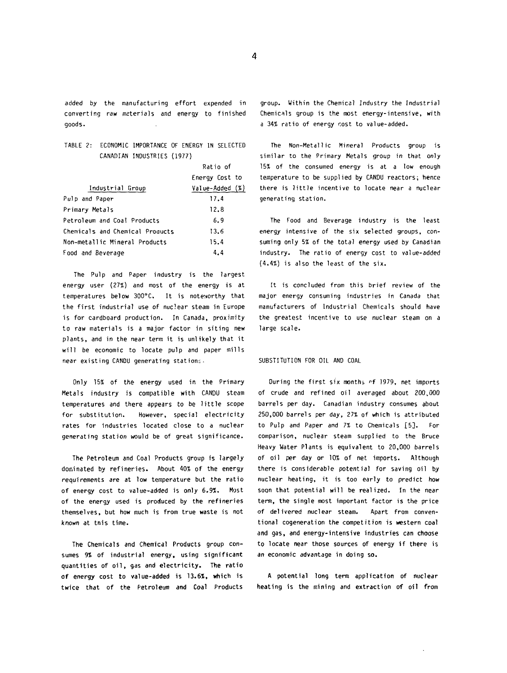**added by the manufacturing effort expended in converting raw materials and energy to finished goods.**

### **TABLE 2: ECONOMIC IMPORTANCE OF ENERGY IN SELECTED CANADIAN INDUSTRIES (1977)**

|                                 | Ratio of        |
|---------------------------------|-----------------|
|                                 | Energy Cost to  |
| Industrial Group                | Value-Added (%) |
| Pulp and Paper                  | 17.4            |
| Primary Metals                  | 12.8            |
| Petroleum and Coal Products     | 6.9             |
| Chemicals and Chemical Products | 13.6            |
| Non-metallic Mineral Products   | 15.4            |
| Food and Beverage               | 4.4             |

**The Pulp and Paper industry is the largest energy user {27%) and most of the energy is at temperatures below 300°C. It is noteworthy that the first industrial use of nuclear steam in Europe is for cardboard production. In Canada, proximity to raw materials is a major factor in siting new plants, and in the near term it is unlikely that it will be economic to locate pulp and paper mills near existing CANDU generating stations.**

**Only 15% of the energy used in the Primary Metals industry is compatible with CANDU steam temperatures and there appears to be little scope for substitution. However, special electricity rates for industries located close to a nuclear generating station would be of great significance.**

**The Petroleum and Coal Products group is largely dominated by refineries. About 40% of the energy requirements are at low temperature but the ratio of energy cost to value-added is only 6.9%. Most of the energy used is produced by the refineries themselves, but how much is from true waste is not known at tnis time.**

**The Chemicals and Chemical Products group consumes 9% of industrial energy, using significant quantities of oil, gas and electricity. The ratio of energy cost to value-added is. 13.6%, which is twice that of the Petroleum and Coal Products** **group. Within the Chemical Industry the Industrial Chemicals group is the most energy-intensive, with a 34% ratio of energy cost to value-added.**

**The Non-Metallic Mineral Products group is similar to the Primary Metals group in that only 15% of the consumed energy is at a low enough temperature to be supplied by CANDU reactors; hence there is little incentive to locate near a nuclear generating station.**

**The Food and Beverage industry is the least energy intensive of the six selected groups, consuming only 5% of the total energy used by Canadian industry. The ratio of energy cost to value-added (4.4%) is also the least of the six.**

**[t is concluded from this brief review of the major energy consuming industries in Canada that manufacturers of Industrial Chemicals should have the greatest incentive to use nuclear steam on a large scale.**

#### **SUBSTITUTION FOR OIL AND COAL**

During the first six months of 1979, net imports **of crude and refined oil averaged about 200,000 barrels per day. Canadian industry consumes about 250,000 barrels per day, 27% of which is attributed to Pulp and Paper and 7% to Chemicals [5]. For comparison, nuclear steam supplied to the Bruce Heavy Water Plants is equivalent to 20,000 barrels of oil per day or 10% of net imports. Although there is considerable potential for saving oil by nuclear heating, it is too early to predict how soon that potential will be realized. In the near term, the single most important factor is the price of delivered nuclear steam. Apart from conventional cogeneration the competition is western coal and gas, and energy-intensive industries can choose to locate near those sources of energy if there is an economic advantage in doing so.**

**A potential long term application of nuclear heating is the mining and extraction of oil from**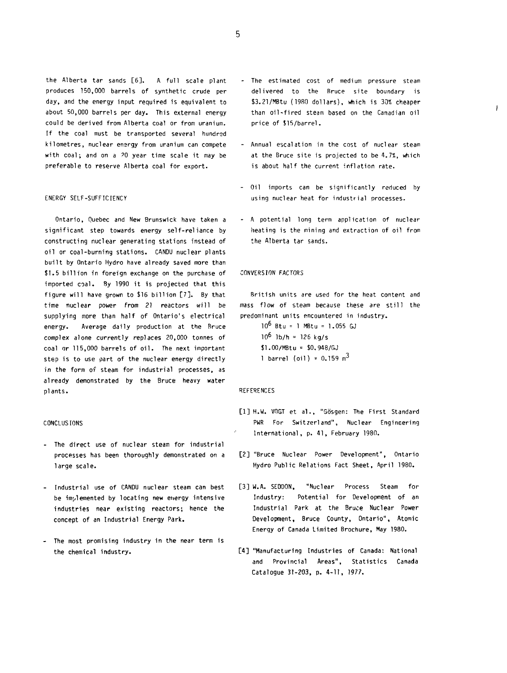the Alberta tar sands [6]. A full scale plant produces 150,000 barrels of synthetic crude per day, and the energy input required is equivalent to about 50,000 barrels per day. This external energy could be derived from Alberta coal or from uranium. If the coal must be transported several hundred kilometres, nuclear energy from uranium can compete with coal; and on a 20 year time scale it may be preferable to reserve Alberta coal for export.

#### ENERGY SELF-SUFFICIENCY

Ontario, Quebec and New Brunswick have taken a significant step towards energy self-reliance by constructing nuclear generating stations instead of oil or coal-burning stations. CANDU nuclear plants built by Ontario Hydro have already saved more than \$1.5 billion in foreign exchange on the purchase of imported coal. By 1990 it is projected that this figure will have grown to \$16 billion [7]. By that time nuclear power from 21 reactors will be supplying more than half of Ontario's electrical energy. Average daily production at the Bruce complex alone currently replaces 20,000 tonnes of coal or 115,000 barrels of oil. The next important step is to use part of the nuclear energy directly in the form of steam for industrial processes, as already demonstrated by the Bruce heavy water plants.

#### CONCLUSIONS

- The direct use of nuclear steam for industrial processes has been thoroughly demonstrated on a large scale.
- Industrial use of CANDU nuclear steam can best be implemented by locating new energy intensive industries near existing reactors; hence the concept of an Industrial Energy Park.
- The most promising industry in the near term is the chemical industry.

The estimated cost of medium pressure steam delivered to the Rruce site boundary is \$3.21/MBtu (1980 dollars), which is 30% cheaper than oil-fired steam based on the Canadian oil price of \$15/barrel.

Ĺ

- Annual escalation in the cost of nuclear steam at the Bruce site is projected to be 4.7%, which is about half the current inflation rate.
- Oil imports can be significantly reduced by using nuclear heat for industrial processes.
- A potential long term application of nuclear heating is the mining and extraction of oil from the Alberta tar sands.

#### CONVERSION FACTORS

British units are used for the heat content and mass flow of steam because these are still the predominant units encountered in industry.

10<sup>6</sup> Btu = 1 MBtu = 1.055 GJ 10<sup>6</sup> Ib/h = 126 kg/s \$1.00/MBtu = S0.948/GJ 1 barrel (oil) =  $0.159 \text{ m}^3$ 

#### **REFERENCES**

- **[1] H.W. V(1GT et al., "Gosgen: The First Standard PWR For Switzerland", Nuclear Engineering International, p. 41, February 1980.**
- **[2] "Bruce Nuclear Power Development", Ontario Hydro Public Relations Fact Sheet, April 1980.**
- **[3] W.A. SEDDON, "Nuclear Process Steam for Industry: Potential for Development of an Industrial Park at the Bruce Nuclear Power Development, Bruce County, Ontario", Atomic Energy of Canada Limited Brochure, May 1980.**
- **[4] "Manufacturing Industries of Canada: National and Provincial Areas", Statistics Canada Catalogue 31-203, p. 4-11, 1977.**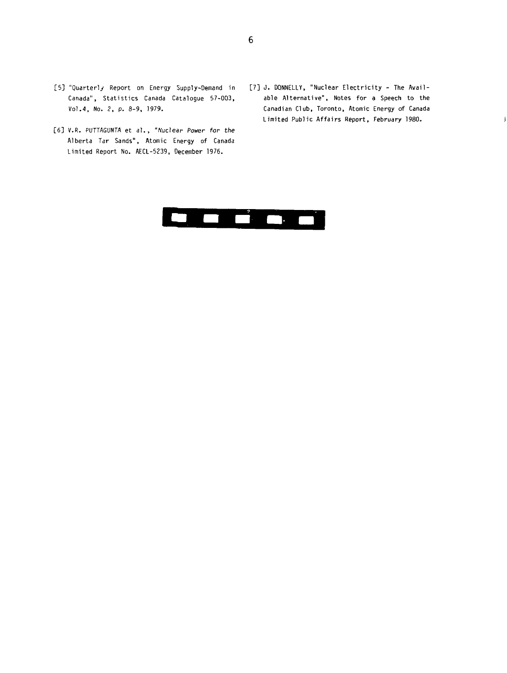- [5] "Quarterly Report on Energy Supply-Demand in Canada", Statistics Canada Catalogue 57-003, Vol.4, No. 2, p. 8-9, 1979.
- [6] V.R. PUTTAGUNTA et a]., "Nuclear Power for the Alberta Tar Sands", Atomic Energy of Canada Limited Report No. AECL-5239, December 1976.
- [7] J. DONNELLY, "Nuclear Electricity The Available Alternative", Notes for a Speech to the Canadian Club, Toronto, Atomic Energy of Canada Limited Public Affairs Report, February 1980.

 $\mathbf{I}$